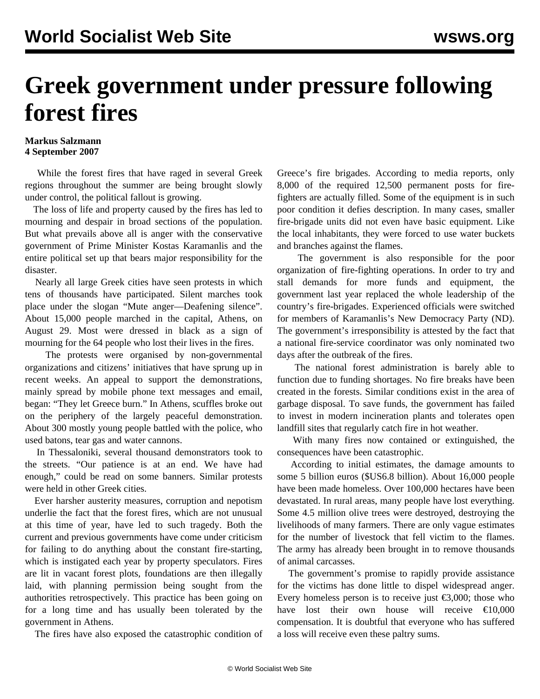## **Greek government under pressure following forest fires**

## **Markus Salzmann 4 September 2007**

 While the forest fires that have raged in several Greek regions throughout the summer are being brought slowly under control, the political fallout is growing.

 The loss of life and property caused by the fires has led to mourning and despair in broad sections of the population. But what prevails above all is anger with the conservative government of Prime Minister Kostas Karamanlis and the entire political set up that bears major responsibility for the disaster.

 Nearly all large Greek cities have seen protests in which tens of thousands have participated. Silent marches took place under the slogan "Mute anger—Deafening silence". About 15,000 people marched in the capital, Athens, on August 29. Most were dressed in black as a sign of mourning for the 64 people who lost their lives in the fires.

 The protests were organised by non-governmental organizations and citizens' initiatives that have sprung up in recent weeks. An appeal to support the demonstrations, mainly spread by mobile phone text messages and email, began: "They let Greece burn." In Athens, scuffles broke out on the periphery of the largely peaceful demonstration. About 300 mostly young people battled with the police, who used batons, tear gas and water cannons.

 In Thessaloniki, several thousand demonstrators took to the streets. "Our patience is at an end. We have had enough," could be read on some banners. Similar protests were held in other Greek cities.

 Ever harsher austerity measures, corruption and nepotism underlie the fact that the forest fires, which are not unusual at this time of year, have led to such tragedy. Both the current and previous governments have come under criticism for failing to do anything about the constant fire-starting, which is instigated each year by property speculators. Fires are lit in vacant forest plots, foundations are then illegally laid, with planning permission being sought from the authorities retrospectively. This practice has been going on for a long time and has usually been tolerated by the government in Athens.

The fires have also exposed the catastrophic condition of

Greece's fire brigades. According to media reports, only 8,000 of the required 12,500 permanent posts for firefighters are actually filled. Some of the equipment is in such poor condition it defies description. In many cases, smaller fire-brigade units did not even have basic equipment. Like the local inhabitants, they were forced to use water buckets and branches against the flames.

 The government is also responsible for the poor organization of fire-fighting operations. In order to try and stall demands for more funds and equipment, the government last year replaced the whole leadership of the country's fire-brigades. Experienced officials were switched for members of Karamanlis's New Democracy Party (ND). The government's irresponsibility is attested by the fact that a national fire-service coordinator was only nominated two days after the outbreak of the fires.

 The national forest administration is barely able to function due to funding shortages. No fire breaks have been created in the forests. Similar conditions exist in the area of garbage disposal. To save funds, the government has failed to invest in modern incineration plants and tolerates open landfill sites that regularly catch fire in hot weather.

 With many fires now contained or extinguished, the consequences have been catastrophic.

 According to initial estimates, the damage amounts to some 5 billion euros (\$US6.8 billion). About 16,000 people have been made homeless. Over 100,000 hectares have been devastated. In rural areas, many people have lost everything. Some 4.5 million olive trees were destroyed, destroying the livelihoods of many farmers. There are only vague estimates for the number of livestock that fell victim to the flames. The army has already been brought in to remove thousands of animal carcasses.

 The government's promise to rapidly provide assistance for the victims has done little to dispel widespread anger. Every homeless person is to receive just  $\epsilon$ 3,000; those who have lost their own house will receive  $\epsilon$ 10.000 compensation. It is doubtful that everyone who has suffered a loss will receive even these paltry sums.